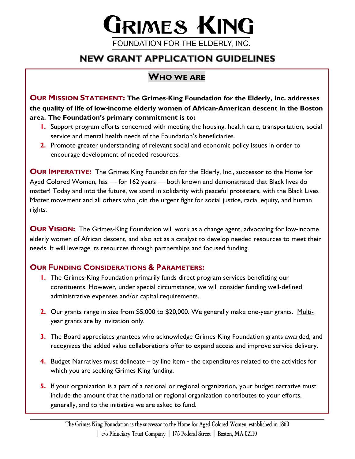# **GRIMES KING**

FOUNDATION FOR THE ELDERLY, INC.

# **NEW GRANT APPLICATION GUIDELINES**

## **WHO WE ARE**

**OUR MISSION STATEMENT: The Grimes**-**King Foundation for the Elderly, Inc. addresses the quality of life of low**-**income elderly women of African**-**American descent in the Boston area. The Foundation's primary commitment is to:** 

- **1.** Support program efforts concerned with meeting the housing, health care, transportation, social service and mental health needs of the Foundation's beneficiaries.
- **2.** Promote greater understanding of relevant social and economic policy issues in order to encourage development of needed resources.

**OUR IMPERATIVE:** The Grimes King Foundation for the Elderly, Inc., successor to the Home for Aged Colored Women, has — for 162 years — both known and demonstrated that Black lives do matter! Today and into the future, we stand in solidarity with peaceful protesters, with the Black Lives Matter movement and all others who join the urgent fight for social justice, racial equity, and human rights.

**OUR VISION:** The Grimes-King Foundation will work as a change agent, advocating for low-income elderly women of African descent, and also act as a catalyst to develop needed resources to meet their needs. It will leverage its resources through partnerships and focused funding.

## **OUR FUNDING CONSIDERATIONS & PARAMETERS:**

- **1.** The Grimes-King Foundation primarily funds direct program services benefitting our constituents. However, under special circumstance, we will consider funding well-defined administrative expenses and/or capital requirements.
- **2.** Our grants range in size from \$5,000 to \$20,000. We generally make one-year grants. Multiyear grants are by invitation only.
- **3.** The Board appreciates grantees who acknowledge Grimes-King Foundation grants awarded, and recognizes the added value collaborations offer to expand access and improve service delivery.
- **4.** Budget Narratives must delineate by line item the expenditures related to the activities for which you are seeking Grimes King funding.
- **5.** If your organization is a part of a national or regional organization, your budget narrative must include the amount that the national or regional organization contributes to your efforts, generally, and to the initiative we are asked to fund.